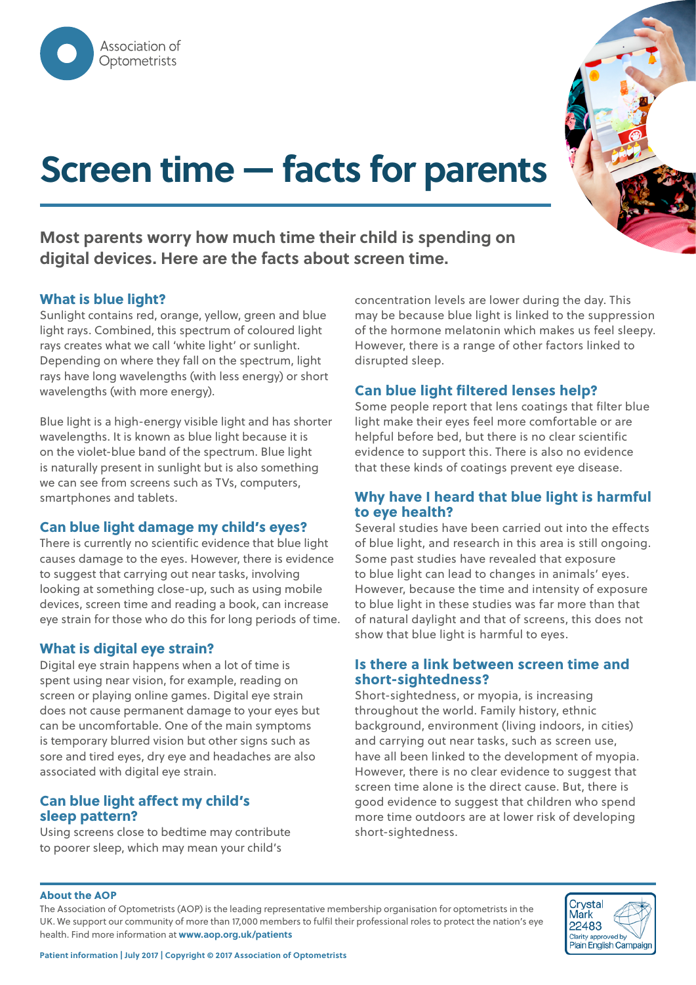# **Screen time — facts for parents**

**Most parents worry how much time their child is spending on digital devices. Here are the facts about screen time.**

#### **What is blue light?**

Sunlight contains red, orange, yellow, green and blue light rays. Combined, this spectrum of coloured light rays creates what we call 'white light' or sunlight. Depending on where they fall on the spectrum, light rays have long wavelengths (with less energy) or short wavelengths (with more energy).

Blue light is a high-energy visible light and has shorter wavelengths. It is known as blue light because it is on the violet-blue band of the spectrum. Blue light is naturally present in sunlight but is also something we can see from screens such as TVs, computers, smartphones and tablets.

#### **Can blue light damage my child's eyes?**

There is currently no scientific evidence that blue light causes damage to the eyes. However, there is evidence to suggest that carrying out near tasks, involving looking at something close-up, such as using mobile devices, screen time and reading a book, can increase eye strain for those who do this for long periods of time.

#### **What is digital eye strain?**

Digital eye strain happens when a lot of time is spent using near vision, for example, reading on screen or playing online games. Digital eye strain does not cause permanent damage to your eyes but can be uncomfortable. One of the main symptoms is temporary blurred vision but other signs such as sore and tired eyes, dry eye and headaches are also associated with digital eye strain.

#### **Can blue light affect my child's sleep pattern?**

Using screens close to bedtime may contribute to poorer sleep, which may mean your child's

concentration levels are lower during the day. This may be because blue light is linked to the suppression of the hormone melatonin which makes us feel sleepy. However, there is a range of other factors linked to disrupted sleep.

#### **Can blue light filtered lenses help?**

Some people report that lens coatings that filter blue light make their eyes feel more comfortable or are helpful before bed, but there is no clear scientific evidence to support this. There is also no evidence that these kinds of coatings prevent eye disease.

#### **Why have I heard that blue light is harmful to eye health?**

Several studies have been carried out into the effects of blue light, and research in this area is still ongoing. Some past studies have revealed that exposure to blue light can lead to changes in animals' eyes. However, because the time and intensity of exposure to blue light in these studies was far more than that of natural daylight and that of screens, this does not show that blue light is harmful to eyes.

#### **Is there a link between screen time and short-sightedness?**

Short-sightedness, or myopia, is increasing throughout the world. Family history, ethnic background, environment (living indoors, in cities) and carrying out near tasks, such as screen use, have all been linked to the development of myopia. However, there is no clear evidence to suggest that screen time alone is the direct cause. But, there is good evidence to suggest that children who spend more time outdoors are at lower risk of developing short-sightedness.

#### **About the AOP**

The Association of Optometrists (AOP) is the leading representative membership organisation for optometrists in the UK. We support our community of more than 17,000 members to fulfil their professional roles to protect the nation's eye health. Find more information at **www.aop.org.uk/patients**